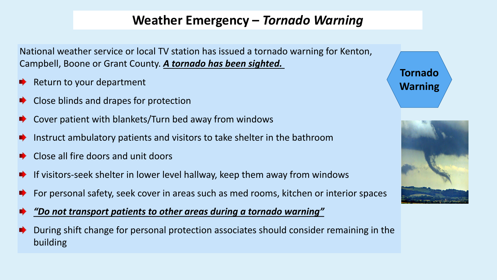## **Weather Emergency –** *Tornado Warning*

National weather service or local TV station has issued a tornado warning for Kenton, Campbell, Boone or Grant County. *A tornado has been sighted.*

- Return to your department
- **EXTE:** Close blinds and drapes for protection
- Cover patient with blankets/Turn bed away from windows
- Instruct ambulatory patients and visitors to take shelter in the bathroom
- Close all fire doors and unit doors
- If visitors-seek shelter in lower level hallway, keep them away from windows
- For personal safety, seek cover in areas such as med rooms, kitchen or interior spaces



- During shift change for personal protection associates should consider remaining in the building
- 





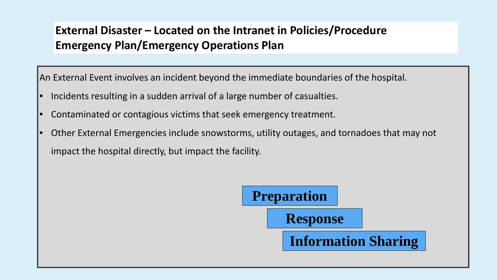## **External Disaster – Located on the Intranet in Policies/Procedure Emergency Plan/Emergency Operations Plan**

An External Event involves an incident beyond the immediate boundaries of the hospital.

- Incidents resulting in a sudden arrival of a large number of casualties.
- Contaminated or contagious victims that seek emergency treatment.
- Other External Emergencies include snowstorms, utility outages, and tornadoes that may not impact the hospital directly, but impact the facility.



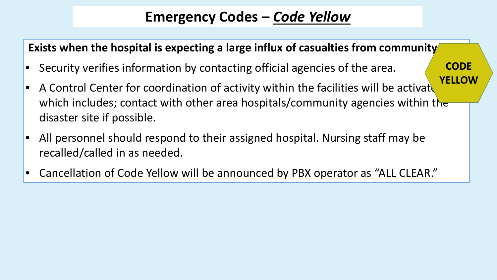# **Emergency Codes –** *Code Yellow*

## **Exists when the hospital is expecting a large influx of casualties from community**

- Security verifies information by contacting official agencies of the area.
- A Control Center for coordination of activity within the facilities will be activate which includes; contact with other area hospitals/community agencies within the disaster site if possible.
- All personnel should respond to their assigned hospital. Nursing staff may be recalled/called in as needed.
- Cancellation of Code Yellow will be announced by PBX operator as "ALL CLEAR."

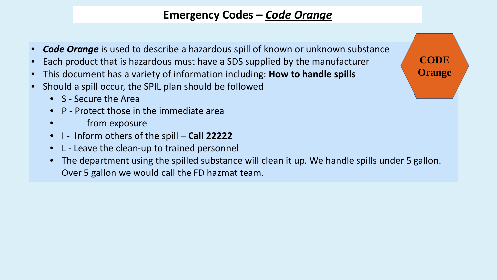## **Emergency Codes –** *Code Orange*

- *Code Orange* is used to describe a hazardous spill of known or unknown substance
- Each product that is hazardous must have a SDS supplied by the manufacturer
- This document has a variety of information including: **How to handle spills**
- Should a spill occur, the SPIL plan should be followed
	- S Secure the Area
	- P Protect those in the immediate area
	- from exposure
	- I Inform others of the spill **Call 22222**
	- L Leave the clean-up to trained personnel
	- Over 5 gallon we would call the FD hazmat team.

• The department using the spilled substance will clean it up. We handle spills under 5 gallon.



**CODE Orange**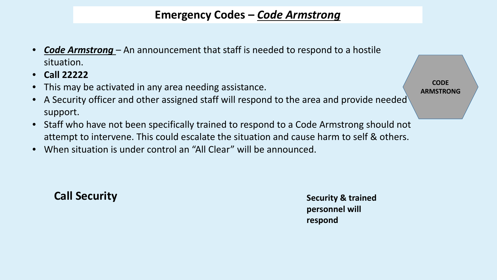## **Emergency Codes –** *Code Armstrong*

- *Code Armstrong*  An announcement that staff is needed to respond to a hostile situation.
- **Call 22222**
- This may be activated in any area needing assistance.
- A Security officer and other assigned staff will respond to the area and provide needed support.
- Staff who have not been specifically trained to respond to a Code Armstrong should not attempt to intervene. This could escalate the situation and cause harm to self & others.
- When situation is under control an "All Clear" will be announced.

## **Call Security Security Security Security & trained**

**CODE ARMSTRONG**

**personnel will respond**

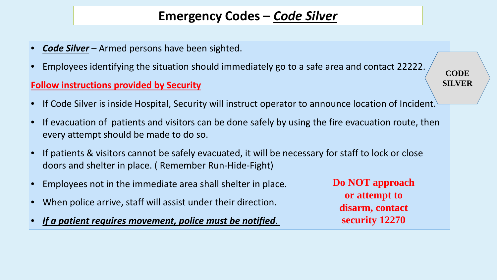## **Emergency Codes –** *Code Silver*

- *Code Silver* Armed persons have been sighted.
- Employees identifying the situation should immediately go to a safe area and contact 22222.

### **Follow instructions provided by Security**

- 
- every attempt should be made to do so.
- If patients & visitors cannot be safely evacuated, it will be necessary for staff to lock or close doors and shelter in place. ( Remember Run-Hide-Fight)
- Employees not in the immediate area shall shelter in place.
- When police arrive, staff will assist under their direction.
- *If a patient requires movement, police must be notified.*

**Do NOT approach or attempt to disarm, contact security 12270**



### **CODE SILVER**

If Code Silver is inside Hospital, Security will instruct operator to announce location of Incident.

If evacuation of patients and visitors can be done safely by using the fire evacuation route, then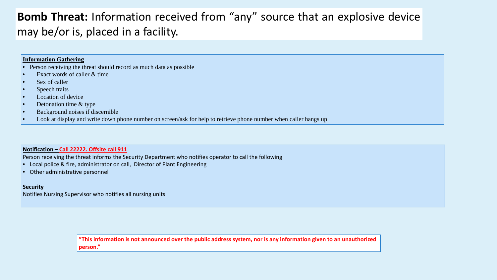## **Bomb Threat:** Information received from "any" source that an explosive device may be/or is, placed in a facility.

### **Information Gathering**

- Person receiving the threat should record as much data as possible
- Exact words of caller & time
- Sex of caller
- Speech traits
- Location of device
- Detonation time & type
- Background noises if discernible
- Look at display and write down phone number on screen/ask for help to retrieve phone number when caller hangs up

#### **Notification – Call 22222. Offsite call 911**

Person receiving the threat informs the Security Department who notifies operator to call the following

- Local police & fire, administrator on call, Director of Plant Engineering
- Other administrative personnel

#### **Security**

Notifies Nursing Supervisor who notifies all nursing units

**"This information is not announced over the public address system, nor is any information given to an unauthorized person."**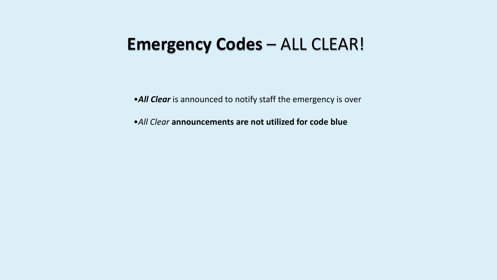# **Emergency Codes** – ALL CLEAR!

•*All Clear* is announced to notify staff the emergency is over

•*All Clear* **announcements are not utilized for code blue**